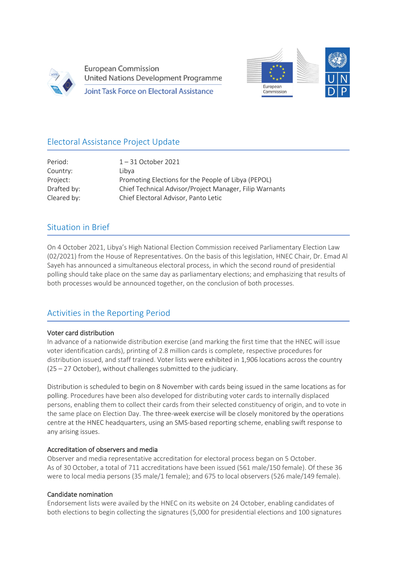

**European Commission** United Nations Development Programme **Joint Task Force on Electoral Assistance** 



# Electoral Assistance Project Update

| Period:     | $1 - 31$ October 2021                                   |
|-------------|---------------------------------------------------------|
| Country:    | Libva                                                   |
| Project:    | Promoting Elections for the People of Libya (PEPOL)     |
| Drafted by: | Chief Technical Advisor/Project Manager, Filip Warnants |
| Cleared by: | Chief Electoral Advisor, Panto Letic                    |
|             |                                                         |

## Situation in Brief

Ī

On 4 October 2021, Libya's High National Election Commission received Parliamentary Election Law (02/2021) from the House of Representatives. On the basis of this legislation, HNEC Chair, Dr. Emad Al Sayeh has announced a simultaneous electoral process, in which the second round of presidential polling should take place on the same day as parliamentary elections; and emphasizing that results of both processes would be announced together, on the conclusion of both processes.

## Activities in the Reporting Period

### Voter card distribution

j

In advance of a nationwide distribution exercise (and marking the first time that the HNEC will issue voter identification cards), printing of 2.8 million cards is complete, respective procedures for distribution issued, and staff trained. Voter lists were exhibited in 1,906 locations across the country (25 – 27 October), without challenges submitted to the judiciary.

Distribution is scheduled to begin on 8 November with cards being issued in the same locations as for polling. Procedures have been also developed for distributing voter cards to internally displaced persons, enabling them to collect their cards from their selected constituency of origin, and to vote in the same place on Election Day. The three-week exercise will be closely monitored by the operations centre at the HNEC headquarters, using an SMS-based reporting scheme, enabling swift response to any arising issues.

### Accreditation of observers and media

Observer and media representative accreditation for electoral process began on 5 October. As of 30 October, a total of 711 accreditations have been issued (561 male/150 female). Of these 36 were to local media persons (35 male/1 female); and 675 to local observers (526 male/149 female).

### Candidate nomination

Endorsement lists were availed by the HNEC on its website on 24 October, enabling candidates of both elections to begin collecting the signatures (5,000 for presidential elections and 100 signatures